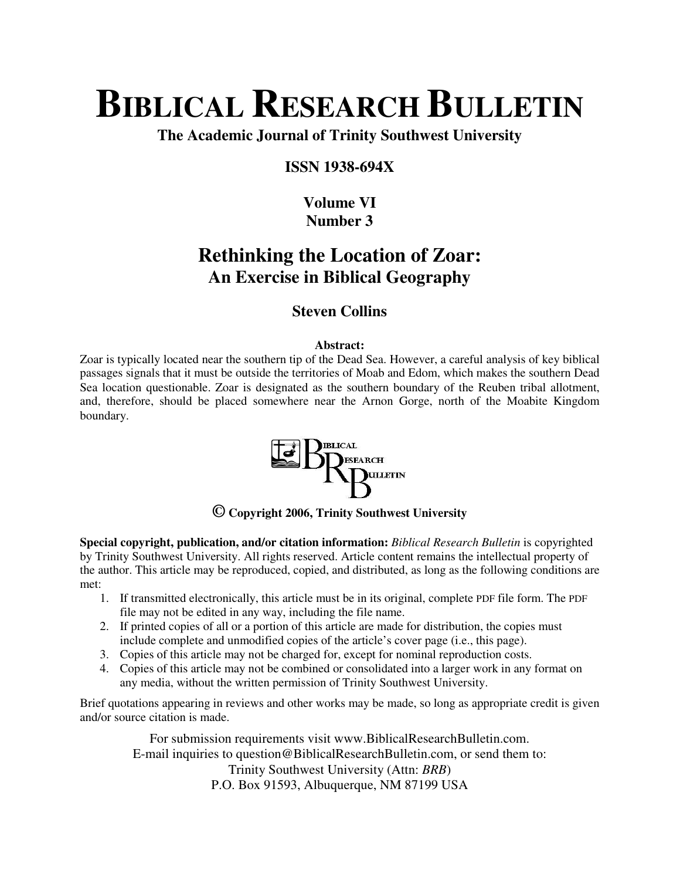# **BIBLICAL RESEARCH BULLETIN**

**The Academic Journal of Trinity Southwest University** 

#### **ISSN 1938-694X**

### **Volume VI Number 3**

## **Rethinking the Location of Zoar: An Exercise in Biblical Geography**

### **Steven Collins**

#### **Abstract:**

Zoar is typically located near the southern tip of the Dead Sea. However, a careful analysis of key biblical passages signals that it must be outside the territories of Moab and Edom, which makes the southern Dead Sea location questionable. Zoar is designated as the southern boundary of the Reuben tribal allotment, and, therefore, should be placed somewhere near the Arnon Gorge, north of the Moabite Kingdom boundary.



**© Copyright 2006, Trinity Southwest University** 

**Special copyright, publication, and/or citation information:** *Biblical Research Bulletin* is copyrighted by Trinity Southwest University. All rights reserved. Article content remains the intellectual property of the author. This article may be reproduced, copied, and distributed, as long as the following conditions are met:

- 1. If transmitted electronically, this article must be in its original, complete PDF file form. The PDF file may not be edited in any way, including the file name.
- 2. If printed copies of all or a portion of this article are made for distribution, the copies must include complete and unmodified copies of the article's cover page (i.e., this page).
- 3. Copies of this article may not be charged for, except for nominal reproduction costs.
- 4. Copies of this article may not be combined or consolidated into a larger work in any format on any media, without the written permission of Trinity Southwest University.

Brief quotations appearing in reviews and other works may be made, so long as appropriate credit is given and/or source citation is made.

For submission requirements visit www.BiblicalResearchBulletin.com. E-mail inquiries to question@BiblicalResearchBulletin.com, or send them to: Trinity Southwest University (Attn: *BRB*) P.O. Box 91593, Albuquerque, NM 87199 USA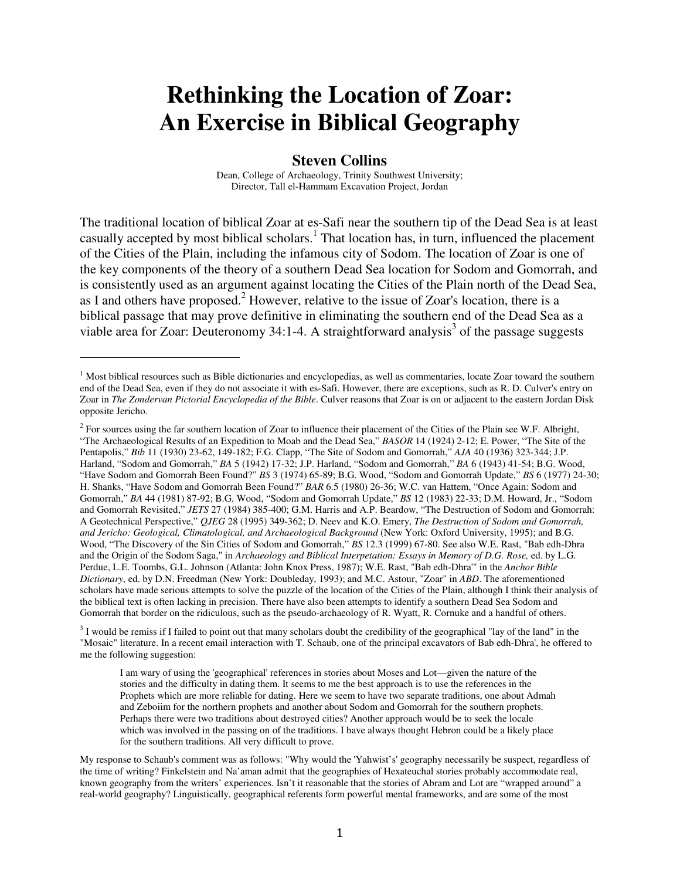# **Rethinking the Location of Zoar: An Exercise in Biblical Geography**

#### **Steven Collins**

Dean, College of Archaeology, Trinity Southwest University; Director, Tall el-Hammam Excavation Project, Jordan

The traditional location of biblical Zoar at es-Safi near the southern tip of the Dead Sea is at least casually accepted by most biblical scholars.<sup>1</sup> That location has, in turn, influenced the placement of the Cities of the Plain, including the infamous city of Sodom. The location of Zoar is one of the key components of the theory of a southern Dead Sea location for Sodom and Gomorrah, and is consistently used as an argument against locating the Cities of the Plain north of the Dead Sea, as I and others have proposed.<sup>2</sup> However, relative to the issue of Zoar's location, there is a biblical passage that may prove definitive in eliminating the southern end of the Dead Sea as a viable area for Zoar: Deuteronomy 34:1-4. A straightforward analysis<sup>3</sup> of the passage suggests

l

 $3$  I would be remiss if I failed to point out that many scholars doubt the credibility of the geographical "lay of the land" in the "Mosaic" literature. In a recent email interaction with T. Schaub, one of the principal excavators of Bab edh-Dhra', he offered to me the following suggestion:

I am wary of using the 'geographical' references in stories about Moses and Lot—given the nature of the stories and the difficulty in dating them. It seems to me the best approach is to use the references in the Prophets which are more reliable for dating. Here we seem to have two separate traditions, one about Admah and Zeboiim for the northern prophets and another about Sodom and Gomorrah for the southern prophets. Perhaps there were two traditions about destroyed cities? Another approach would be to seek the locale which was involved in the passing on of the traditions. I have always thought Hebron could be a likely place for the southern traditions. All very difficult to prove.

<sup>&</sup>lt;sup>1</sup> Most biblical resources such as Bible dictionaries and encyclopedias, as well as commentaries, locate Zoar toward the southern end of the Dead Sea, even if they do not associate it with es-Safi. However, there are exceptions, such as R. D. Culver's entry on Zoar in *The Zondervan Pictorial Encyclopedia of the Bible*. Culver reasons that Zoar is on or adjacent to the eastern Jordan Disk opposite Jericho.

<sup>&</sup>lt;sup>2</sup> For sources using the far southern location of Zoar to influence their placement of the Cities of the Plain see W.F. Albright, "The Archaeological Results of an Expedition to Moab and the Dead Sea," *BASOR* 14 (1924) 2-12; E. Power, "The Site of the Pentapolis," *Bib* 11 (1930) 23-62, 149-182; F.G. Clapp, "The Site of Sodom and Gomorrah," *AJA* 40 (1936) 323-344; J.P. Harland, "Sodom and Gomorrah," *BA* 5 (1942) 17-32; J.P. Harland, "Sodom and Gomorrah," *BA* 6 (1943) 41-54; B.G. Wood, "Have Sodom and Gomorrah Been Found?" *BS* 3 (1974) 65-89; B.G. Wood, "Sodom and Gomorrah Update," *BS* 6 (1977) 24-30; H. Shanks, "Have Sodom and Gomorrah Been Found?" *BAR* 6.5 (1980) 26-36; W.C. van Hattem, "Once Again: Sodom and Gomorrah," *BA* 44 (1981) 87-92; B.G. Wood, "Sodom and Gomorrah Update," *BS* 12 (1983) 22-33; D.M. Howard, Jr., "Sodom and Gomorrah Revisited," *JETS* 27 (1984) 385-400; G.M. Harris and A.P. Beardow, "The Destruction of Sodom and Gomorrah: A Geotechnical Perspective," *QJEG* 28 (1995) 349-362; D. Neev and K.O. Emery, *The Destruction of Sodom and Gomorrah, and Jericho: Geological, Climatological, and Archaeological Background* (New York: Oxford University, 1995); and B.G. Wood, "The Discovery of the Sin Cities of Sodom and Gomorrah," *BS* 12.3 (1999) 67-80. See also W.E. Rast, "Bab edh-Dhra and the Origin of the Sodom Saga," in *Archaeology and Biblical Interpetation: Essays in Memory of D.G. Rose,* ed. by L.G. Perdue, L.E. Toombs, G.L. Johnson (Atlanta: John Knox Press, 1987); W.E. Rast, "Bab edh-Dhra'" in the *Anchor Bible Dictionary*, ed. by D.N. Freedman (New York: Doubleday, 1993); and M.C. Astour, "Zoar" in *ABD*. The aforementioned scholars have made serious attempts to solve the puzzle of the location of the Cities of the Plain, although I think their analysis of the biblical text is often lacking in precision. There have also been attempts to identify a southern Dead Sea Sodom and Gomorrah that border on the ridiculous, such as the pseudo-archaeology of R. Wyatt, R. Cornuke and a handful of others.

My response to Schaub's comment was as follows: "Why would the 'Yahwist's' geography necessarily be suspect, regardless of the time of writing? Finkelstein and Na'aman admit that the geographies of Hexateuchal stories probably accommodate real, known geography from the writers' experiences. Isn't it reasonable that the stories of Abram and Lot are "wrapped around" a real-world geography? Linguistically, geographical referents form powerful mental frameworks, and are some of the most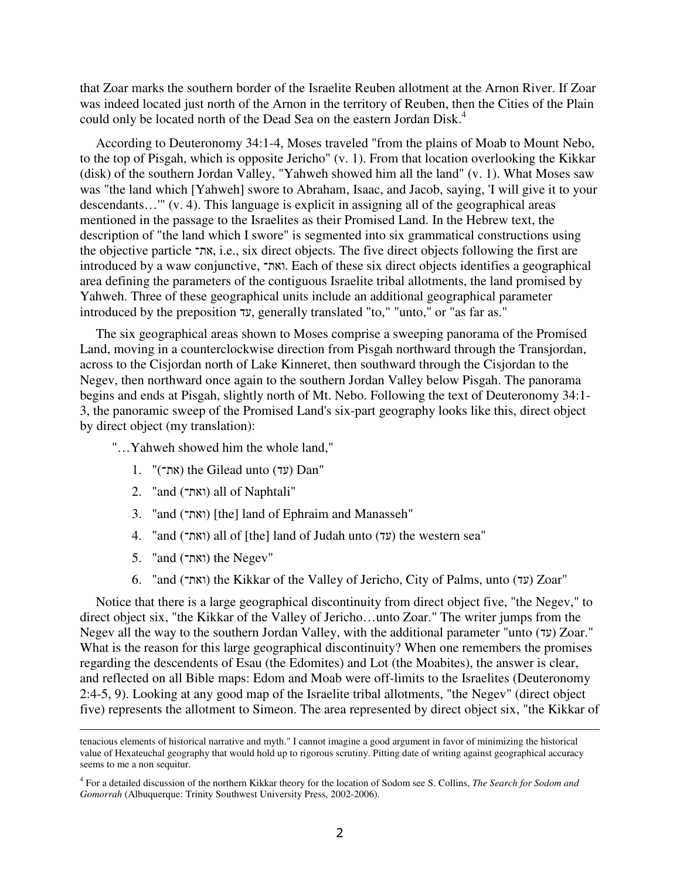that Zoar marks the southern border of the Israelite Reuben allotment at the Arnon River. If Zoar was indeed located just north of the Arnon in the territory of Reuben, then the Cities of the Plain could only be located north of the Dead Sea on the eastern Jordan Disk.<sup>4</sup>

According to Deuteronomy 34:1-4, Moses traveled "from the plains of Moab to Mount Nebo, to the top of Pisgah, which is opposite Jericho" (v. 1). From that location overlooking the Kikkar (disk) of the southern Jordan Valley, "Yahweh showed him all the land" (v. 1). What Moses saw was "the land which [Yahweh] swore to Abraham, Isaac, and Jacob, saying, 'I will give it to your descendants…'" (v. 4). This language is explicit in assigning all of the geographical areas mentioned in the passage to the Israelites as their Promised Land. In the Hebrew text, the description of "the land which I swore" is segmented into six grammatical constructions using the objective particle את, i.e., six direct objects. The five direct objects following the first are introduced by a waw conjunctive, ואת. Each of these six direct objects identifies a geographical area defining the parameters of the contiguous Israelite tribal allotments, the land promised by Yahweh. Three of these geographical units include an additional geographical parameter introduced by the preposition עד, generally translated "to," "unto," or "as far as."

The six geographical areas shown to Moses comprise a sweeping panorama of the Promised Land, moving in a counterclockwise direction from Pisgah northward through the Transjordan, across to the Cisjordan north of Lake Kinneret, then southward through the Cisjordan to the Negev, then northward once again to the southern Jordan Valley below Pisgah. The panorama begins and ends at Pisgah, slightly north of Mt. Nebo. Following the text of Deuteronomy 34:1- 3, the panoramic sweep of the Promised Land's six-part geography looks like this, direct object by direct object (my translation):

"…Yahweh showed him the whole land,"

- 1. "(את־) the Gilead unto (עד) Dan"
- 2. "and (ואת־) all of Naphtali"
- 3. "and (ואת־) [the] land of Ephraim and Manasseh"
- 4. "and (ואת־) all of [the] land of Judah unto (עד) the western sea"
- 5. "and  $(\text{max})$  the Negev"

 $\overline{a}$ 

6. "and (ואת־) the Kikkar of the Valley of Jericho, City of Palms, unto (עד) Zoar"

Notice that there is a large geographical discontinuity from direct object five, "the Negev," to direct object six, "the Kikkar of the Valley of Jericho…unto Zoar." The writer jumps from the Negev all the way to the southern Jordan Valley, with the additional parameter "unto (עד) Zoar." What is the reason for this large geographical discontinuity? When one remembers the promises regarding the descendents of Esau (the Edomites) and Lot (the Moabites), the answer is clear, and reflected on all Bible maps: Edom and Moab were off-limits to the Israelites (Deuteronomy 2:4-5, 9). Looking at any good map of the Israelite tribal allotments, "the Negev" (direct object five) represents the allotment to Simeon. The area represented by direct object six, "the Kikkar of

tenacious elements of historical narrative and myth." I cannot imagine a good argument in favor of minimizing the historical value of Hexateuchal geography that would hold up to rigorous scrutiny. Pitting date of writing against geographical accuracy seems to me a non sequitur.

<sup>4</sup> For a detailed discussion of the northern Kikkar theory for the location of Sodom see S. Collins, *The Search for Sodom and Gomorrah* (Albuquerque: Trinity Southwest University Press, 2002-2006).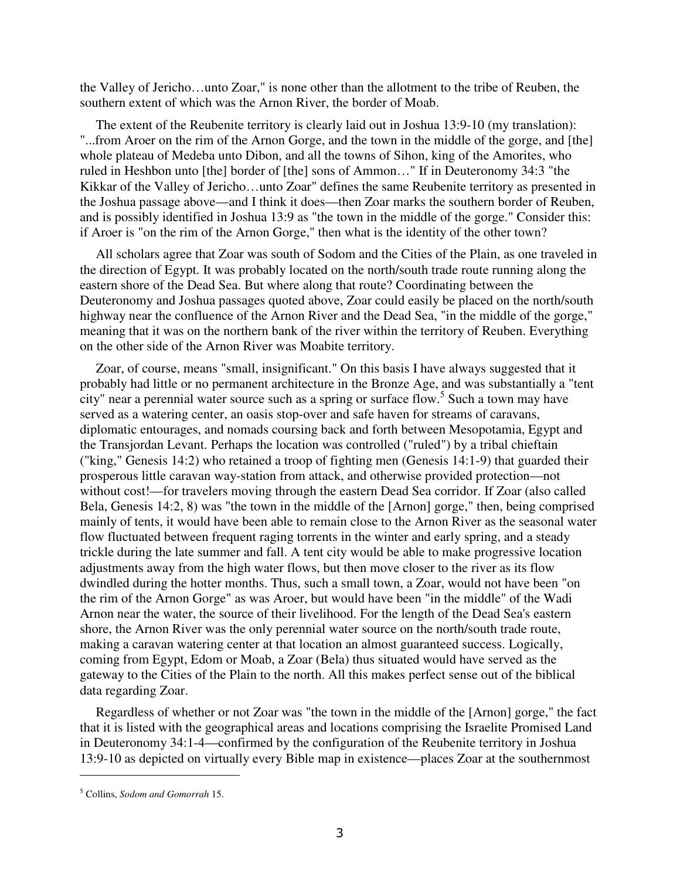the Valley of Jericho…unto Zoar," is none other than the allotment to the tribe of Reuben, the southern extent of which was the Arnon River, the border of Moab.

The extent of the Reubenite territory is clearly laid out in Joshua 13:9-10 (my translation): "...from Aroer on the rim of the Arnon Gorge, and the town in the middle of the gorge, and [the] whole plateau of Medeba unto Dibon, and all the towns of Sihon, king of the Amorites, who ruled in Heshbon unto [the] border of [the] sons of Ammon…" If in Deuteronomy 34:3 "the Kikkar of the Valley of Jericho…unto Zoar" defines the same Reubenite territory as presented in the Joshua passage above—and I think it does—then Zoar marks the southern border of Reuben, and is possibly identified in Joshua 13:9 as "the town in the middle of the gorge." Consider this: if Aroer is "on the rim of the Arnon Gorge," then what is the identity of the other town?

All scholars agree that Zoar was south of Sodom and the Cities of the Plain, as one traveled in the direction of Egypt. It was probably located on the north/south trade route running along the eastern shore of the Dead Sea. But where along that route? Coordinating between the Deuteronomy and Joshua passages quoted above, Zoar could easily be placed on the north/south highway near the confluence of the Arnon River and the Dead Sea, "in the middle of the gorge," meaning that it was on the northern bank of the river within the territory of Reuben. Everything on the other side of the Arnon River was Moabite territory.

Zoar, of course, means "small, insignificant." On this basis I have always suggested that it probably had little or no permanent architecture in the Bronze Age, and was substantially a "tent city" near a perennial water source such as a spring or surface flow.<sup>5</sup> Such a town may have served as a watering center, an oasis stop-over and safe haven for streams of caravans, diplomatic entourages, and nomads coursing back and forth between Mesopotamia, Egypt and the Transjordan Levant. Perhaps the location was controlled ("ruled") by a tribal chieftain ("king," Genesis 14:2) who retained a troop of fighting men (Genesis 14:1-9) that guarded their prosperous little caravan way-station from attack, and otherwise provided protection—not without cost!—for travelers moving through the eastern Dead Sea corridor. If Zoar (also called Bela, Genesis 14:2, 8) was "the town in the middle of the [Arnon] gorge," then, being comprised mainly of tents, it would have been able to remain close to the Arnon River as the seasonal water flow fluctuated between frequent raging torrents in the winter and early spring, and a steady trickle during the late summer and fall. A tent city would be able to make progressive location adjustments away from the high water flows, but then move closer to the river as its flow dwindled during the hotter months. Thus, such a small town, a Zoar, would not have been "on the rim of the Arnon Gorge" as was Aroer, but would have been "in the middle" of the Wadi Arnon near the water, the source of their livelihood. For the length of the Dead Sea's eastern shore, the Arnon River was the only perennial water source on the north/south trade route, making a caravan watering center at that location an almost guaranteed success. Logically, coming from Egypt, Edom or Moab, a Zoar (Bela) thus situated would have served as the gateway to the Cities of the Plain to the north. All this makes perfect sense out of the biblical data regarding Zoar.

Regardless of whether or not Zoar was "the town in the middle of the [Arnon] gorge," the fact that it is listed with the geographical areas and locations comprising the Israelite Promised Land in Deuteronomy 34:1-4—confirmed by the configuration of the Reubenite territory in Joshua 13:9-10 as depicted on virtually every Bible map in existence—places Zoar at the southernmost

 $\overline{a}$ 

<sup>5</sup> Collins, *Sodom and Gomorrah* 15.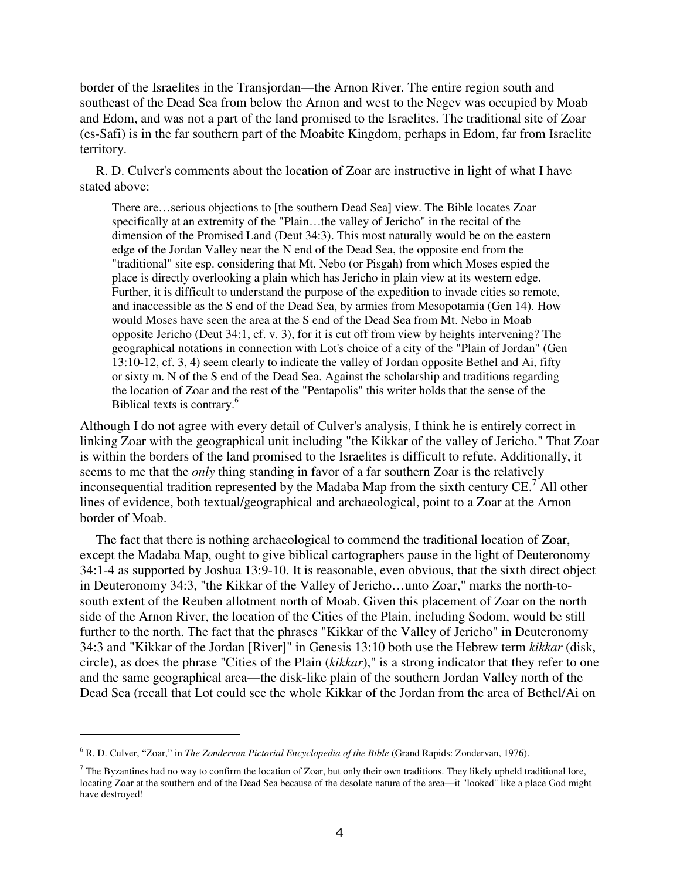border of the Israelites in the Transjordan—the Arnon River. The entire region south and southeast of the Dead Sea from below the Arnon and west to the Negev was occupied by Moab and Edom, and was not a part of the land promised to the Israelites. The traditional site of Zoar (es-Safi) is in the far southern part of the Moabite Kingdom, perhaps in Edom, far from Israelite territory.

R. D. Culver's comments about the location of Zoar are instructive in light of what I have stated above:

There are…serious objections to [the southern Dead Sea] view. The Bible locates Zoar specifically at an extremity of the "Plain…the valley of Jericho" in the recital of the dimension of the Promised Land (Deut 34:3). This most naturally would be on the eastern edge of the Jordan Valley near the N end of the Dead Sea, the opposite end from the "traditional" site esp. considering that Mt. Nebo (or Pisgah) from which Moses espied the place is directly overlooking a plain which has Jericho in plain view at its western edge. Further, it is difficult to understand the purpose of the expedition to invade cities so remote, and inaccessible as the S end of the Dead Sea, by armies from Mesopotamia (Gen 14). How would Moses have seen the area at the S end of the Dead Sea from Mt. Nebo in Moab opposite Jericho (Deut 34:1, cf. v. 3), for it is cut off from view by heights intervening? The geographical notations in connection with Lot's choice of a city of the "Plain of Jordan" (Gen 13:10-12, cf. 3, 4) seem clearly to indicate the valley of Jordan opposite Bethel and Ai, fifty or sixty m. N of the S end of the Dead Sea. Against the scholarship and traditions regarding the location of Zoar and the rest of the "Pentapolis" this writer holds that the sense of the Biblical texts is contrary.<sup>6</sup>

Although I do not agree with every detail of Culver's analysis, I think he is entirely correct in linking Zoar with the geographical unit including "the Kikkar of the valley of Jericho." That Zoar is within the borders of the land promised to the Israelites is difficult to refute. Additionally, it seems to me that the *only* thing standing in favor of a far southern Zoar is the relatively inconsequential tradition represented by the Madaba Map from the sixth century CE.<sup>7</sup> All other lines of evidence, both textual/geographical and archaeological, point to a Zoar at the Arnon border of Moab.

The fact that there is nothing archaeological to commend the traditional location of Zoar, except the Madaba Map, ought to give biblical cartographers pause in the light of Deuteronomy 34:1-4 as supported by Joshua 13:9-10. It is reasonable, even obvious, that the sixth direct object in Deuteronomy 34:3, "the Kikkar of the Valley of Jericho…unto Zoar," marks the north-tosouth extent of the Reuben allotment north of Moab. Given this placement of Zoar on the north side of the Arnon River, the location of the Cities of the Plain, including Sodom, would be still further to the north. The fact that the phrases "Kikkar of the Valley of Jericho" in Deuteronomy 34:3 and "Kikkar of the Jordan [River]" in Genesis 13:10 both use the Hebrew term *kikkar* (disk, circle), as does the phrase "Cities of the Plain (*kikkar*)," is a strong indicator that they refer to one and the same geographical area—the disk-like plain of the southern Jordan Valley north of the Dead Sea (recall that Lot could see the whole Kikkar of the Jordan from the area of Bethel/Ai on

 $\overline{a}$ 

<sup>6</sup> R. D. Culver, "Zoar," in *The Zondervan Pictorial Encyclopedia of the Bible* (Grand Rapids: Zondervan, 1976).

 $^7$  The Byzantines had no way to confirm the location of Zoar, but only their own traditions. They likely upheld traditional lore, locating Zoar at the southern end of the Dead Sea because of the desolate nature of the area—it "looked" like a place God might have destroyed!